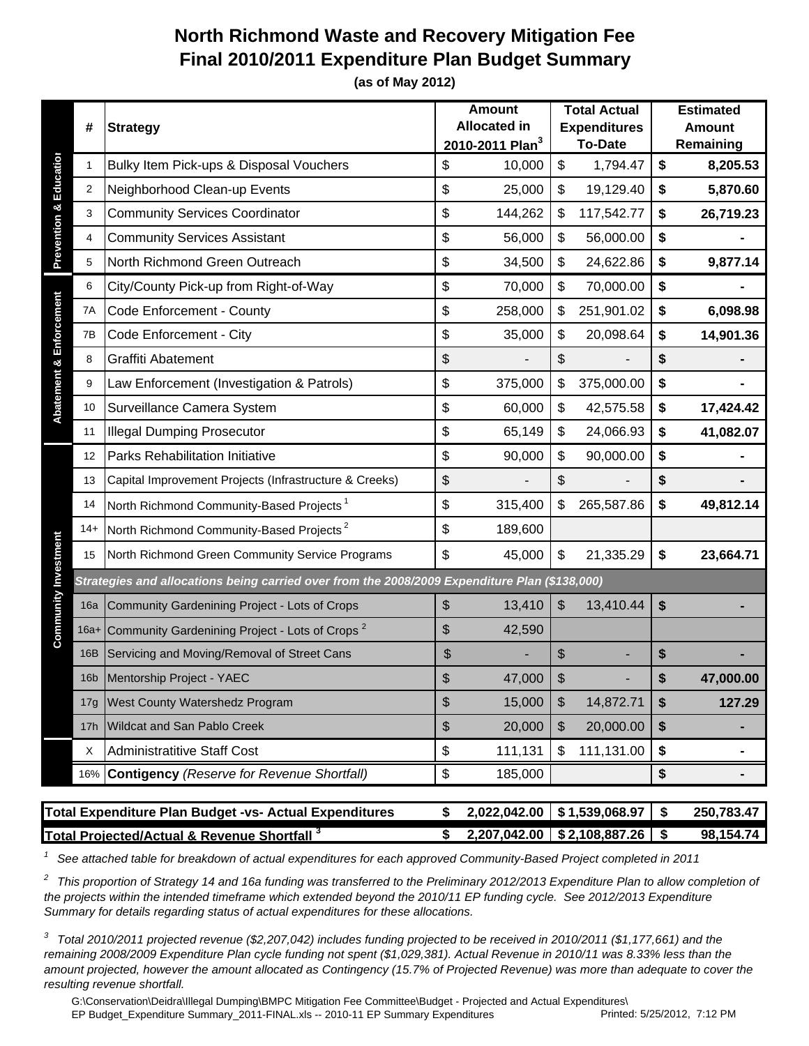## **North Richmond Waste and Recovery Mitigation Fee Final 2010/2011 Expenditure Plan Budget Summary**

**(as of May 2012)**

|                                                                                                                                                                                                                     | #               | <b>Strategy</b>                                                                               |    | <b>Amount</b><br><b>Allocated in</b><br>2010-2011 Plan <sup>3</sup> |    | <b>Total Actual</b><br><b>Expenditures</b><br><b>To-Date</b> |                 | <b>Estimated</b><br><b>Amount</b><br>Remaining |  |
|---------------------------------------------------------------------------------------------------------------------------------------------------------------------------------------------------------------------|-----------------|-----------------------------------------------------------------------------------------------|----|---------------------------------------------------------------------|----|--------------------------------------------------------------|-----------------|------------------------------------------------|--|
| <b>Prevention &amp; Education</b>                                                                                                                                                                                   | 1               | Bulky Item Pick-ups & Disposal Vouchers                                                       | \$ | 10,000                                                              | \$ | 1,794.47                                                     | \$              | 8,205.53                                       |  |
|                                                                                                                                                                                                                     | 2               | Neighborhood Clean-up Events                                                                  | \$ | 25,000                                                              | \$ | 19,129.40                                                    | \$              | 5,870.60                                       |  |
|                                                                                                                                                                                                                     | 3               | <b>Community Services Coordinator</b>                                                         | \$ | 144,262                                                             | \$ | 117,542.77                                                   | \$              | 26,719.23                                      |  |
|                                                                                                                                                                                                                     | 4               | <b>Community Services Assistant</b>                                                           | \$ | 56,000                                                              | \$ | 56,000.00                                                    | \$              |                                                |  |
|                                                                                                                                                                                                                     | 5               | North Richmond Green Outreach                                                                 | \$ | 34,500                                                              | \$ | 24,622.86                                                    | \$              | 9,877.14                                       |  |
| <b>Abatement &amp; Enforcement</b>                                                                                                                                                                                  | 6               | City/County Pick-up from Right-of-Way                                                         | \$ | 70,000                                                              | \$ | 70,000.00                                                    | \$              |                                                |  |
|                                                                                                                                                                                                                     | 7A              | Code Enforcement - County                                                                     | \$ | 258,000                                                             | \$ | 251,901.02                                                   | \$              | 6,098.98                                       |  |
|                                                                                                                                                                                                                     | 7B              | Code Enforcement - City                                                                       | \$ | 35,000                                                              | \$ | 20,098.64                                                    | \$              | 14,901.36                                      |  |
|                                                                                                                                                                                                                     | 8               | Graffiti Abatement                                                                            | \$ |                                                                     | \$ |                                                              | \$              |                                                |  |
|                                                                                                                                                                                                                     | 9               | Law Enforcement (Investigation & Patrols)                                                     | \$ | 375,000                                                             | \$ | 375,000.00                                                   | \$              |                                                |  |
|                                                                                                                                                                                                                     | 10              | Surveillance Camera System                                                                    | \$ | 60,000                                                              | \$ | 42,575.58                                                    | \$              | 17,424.42                                      |  |
|                                                                                                                                                                                                                     | 11              | <b>Illegal Dumping Prosecutor</b>                                                             | \$ | 65,149                                                              | \$ | 24,066.93                                                    | \$              | 41,082.07                                      |  |
|                                                                                                                                                                                                                     | 12              | <b>Parks Rehabilitation Initiative</b>                                                        | \$ | 90,000                                                              | \$ | 90,000.00                                                    | \$              |                                                |  |
|                                                                                                                                                                                                                     | 13              | Capital Improvement Projects (Infrastructure & Creeks)                                        | \$ |                                                                     | \$ |                                                              | \$              |                                                |  |
|                                                                                                                                                                                                                     | 14              | North Richmond Community-Based Projects <sup>1</sup>                                          | \$ | 315,400                                                             | \$ | 265,587.86                                                   | \$              | 49,812.14                                      |  |
|                                                                                                                                                                                                                     | $14+$           | North Richmond Community-Based Projects <sup>2</sup>                                          | \$ | 189,600                                                             |    |                                                              |                 |                                                |  |
|                                                                                                                                                                                                                     | 15              | North Richmond Green Community Service Programs                                               | \$ | 45,000                                                              | \$ | 21,335.29                                                    | \$              | 23,664.71                                      |  |
|                                                                                                                                                                                                                     |                 | Strategies and allocations being carried over from the 2008/2009 Expenditure Plan (\$138,000) |    |                                                                     |    |                                                              |                 |                                                |  |
| <b>Community Investment</b>                                                                                                                                                                                         | 16a             | Community Gardenining Project - Lots of Crops                                                 | \$ | 13,410                                                              | \$ | 13,410.44                                                    | \$              |                                                |  |
|                                                                                                                                                                                                                     | $16a+$          | Community Gardenining Project - Lots of Crops <sup>2</sup>                                    | \$ | 42,590                                                              |    |                                                              |                 |                                                |  |
|                                                                                                                                                                                                                     | 16B             | Servicing and Moving/Removal of Street Cans                                                   | \$ |                                                                     | \$ |                                                              | \$              |                                                |  |
|                                                                                                                                                                                                                     | 16 <sub>b</sub> | Mentorship Project - YAEC                                                                     | \$ | 47,000                                                              | \$ |                                                              | \$              | 47,000.00                                      |  |
|                                                                                                                                                                                                                     | 17g             | West County Watershedz Program                                                                | \$ | 15,000                                                              | \$ | 14,872.71                                                    | \$              | 127.29                                         |  |
|                                                                                                                                                                                                                     | 17h             | Wildcat and San Pablo Creek                                                                   | \$ | 20,000                                                              | \$ | 20,000.00                                                    | \$              | ٠                                              |  |
|                                                                                                                                                                                                                     | X               | Administratitive Staff Cost                                                                   | \$ | 111,131                                                             | \$ | 111,131.00                                                   | \$              | $\blacksquare$                                 |  |
|                                                                                                                                                                                                                     |                 | 16% Contigency (Reserve for Revenue Shortfall)                                                | \$ | 185,000                                                             |    |                                                              | \$              | $\blacksquare$                                 |  |
| 2,022,042.00 \$1,539,068.97<br>\$                                                                                                                                                                                   |                 |                                                                                               |    |                                                                     |    |                                                              |                 |                                                |  |
| Total Expenditure Plan Budget -vs- Actual Expenditures                                                                                                                                                              |                 |                                                                                               |    |                                                                     |    |                                                              | \$<br>$\bullet$ | 250,783.47<br>98,154.74                        |  |
| Total Projected/Actual & Revenue Shortfall <sup>3</sup><br>2,207,042.00 \$2,108,887.26<br>\$<br>See attached table for breakdown of actual expenditures for each approved Community-Based Project completed in 2011 |                 |                                                                                               |    |                                                                     |    |                                                              |                 |                                                |  |

*2 This proportion of Strategy 14 and 16a funding was transferred to the Preliminary 2012/2013 Expenditure Plan to allow completion of the projects within the intended timeframe which extended beyond the 2010/11 EP funding cycle. See 2012/2013 Expenditure Summary for details regarding status of actual expenditures for these allocations.* 

*3 Total 2010/2011 projected revenue (\$2,207,042) includes funding projected to be received in 2010/2011 (\$1,177,661) and the remaining 2008/2009 Expenditure Plan cycle funding not spent (\$1,029,381). Actual Revenue in 2010/11 was 8.33% less than the amount projected, however the amount allocated as Contingency (15.7% of Projected Revenue) was more than adequate to cover the resulting revenue shortfall.*